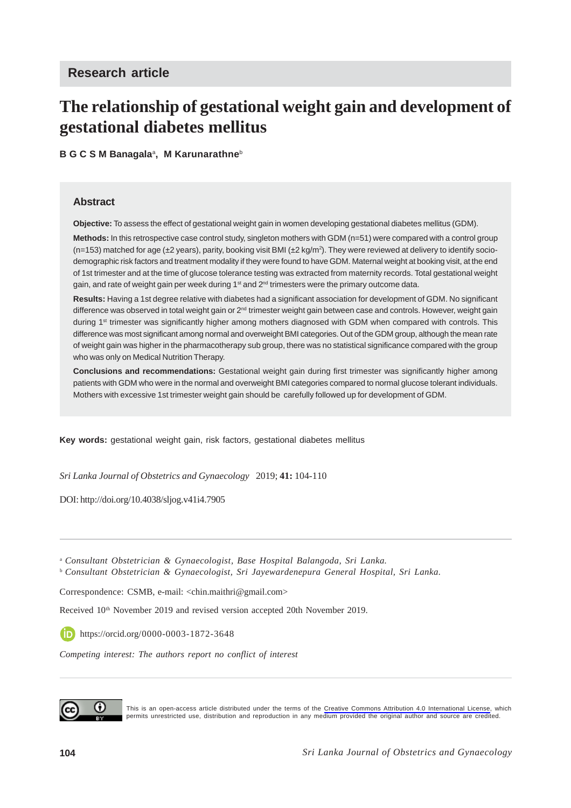# **The relationship of gestational weight gain and development of gestational diabetes mellitus**

**B G C S M Banagala**<sup>a</sup> **, M Karunarathne**<sup>b</sup>

#### **Abstract**

**Objective:** To assess the effect of gestational weight gain in women developing gestational diabetes mellitus (GDM).

**Methods:** In this retrospective case control study, singleton mothers with GDM (n=51) were compared with a control group (n=153) matched for age (±2 years), parity, booking visit BMI (±2 kg/m2 ). They were reviewed at delivery to identify sociodemographic risk factors and treatment modality if they were found to have GDM. Maternal weight at booking visit, at the end of 1st trimester and at the time of glucose tolerance testing was extracted from maternity records. Total gestational weight gain, and rate of weight gain per week during 1<sup>st</sup> and  $2<sup>nd</sup>$  trimesters were the primary outcome data.

**Results:** Having a 1st degree relative with diabetes had a significant association for development of GDM. No significant difference was observed in total weight gain or 2<sup>nd</sup> trimester weight gain between case and controls. However, weight gain during 1st trimester was significantly higher among mothers diagnosed with GDM when compared with controls. This difference was most significant among normal and overweight BMI categories. Out of the GDM group, although the mean rate of weight gain was higher in the pharmacotherapy sub group, there was no statistical significance compared with the group who was only on Medical Nutrition Therapy.

**Conclusions and recommendations:** Gestational weight gain during first trimester was significantly higher among patients with GDM who were in the normal and overweight BMI categories compared to normal glucose tolerant individuals. Mothers with excessive 1st trimester weight gain should be carefully followed up for development of GDM.

**Key words:** gestational weight gain, risk factors, gestational diabetes mellitus

*Sri Lanka Journal of Obstetrics and Gynaecology* 2019; **41:** 104-110

DOI: http://doi.org/10.4038/sljog.v41i4.7905

<sup>a</sup> *Consultant Obstetrician & Gynaecologist, Base Hospital Balangoda, Sri Lanka.* <sup>b</sup> *Consultant Obstetrician & Gynaecologist, Sri Jayewardenepura General Hospital, Sri Lanka.*

Correspondence: CSMB, e-mail: <chin.maithri@gmail.com>

Received 10<sup>th</sup> November 2019 and revised version accepted 20th November 2019.

https://orcid.org/0000-0003-1872-3648

*Competing interest: The authors report no conflict of interest*



This is an open-access article distributed under the terms of the [Creative Commons Attribution 4.0 International License,](https://creativecommons.org/licenses/by/4.0/) which permits unrestricted use, distribution and reproduction in any medium provided the original author and source are credited.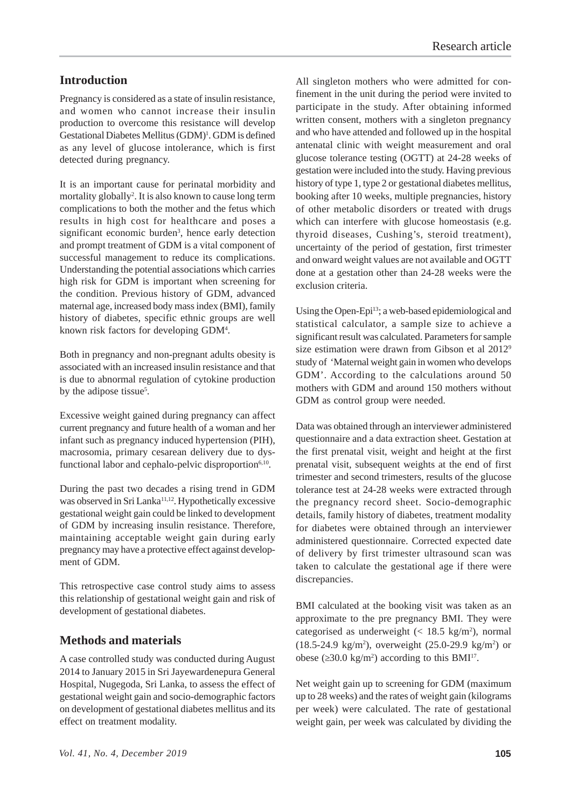# **Introduction**

Pregnancy is considered as a state of insulin resistance, and women who cannot increase their insulin production to overcome this resistance will develop Gestational Diabetes Mellitus (GDM)<sup>1</sup>. GDM is defined as any level of glucose intolerance, which is first detected during pregnancy.

It is an important cause for perinatal morbidity and mortality globally<sup>2</sup>. It is also known to cause long term complications to both the mother and the fetus which results in high cost for healthcare and poses a significant economic burden<sup>3</sup>, hence early detection and prompt treatment of GDM is a vital component of successful management to reduce its complications. Understanding the potential associations which carries high risk for GDM is important when screening for the condition. Previous history of GDM, advanced maternal age, increased body mass index (BMI), family history of diabetes, specific ethnic groups are well known risk factors for developing GDM<sup>4</sup>.

Both in pregnancy and non-pregnant adults obesity is associated with an increased insulin resistance and that is due to abnormal regulation of cytokine production by the adipose tissue<sup>5</sup>.

Excessive weight gained during pregnancy can affect current pregnancy and future health of a woman and her infant such as pregnancy induced hypertension (PIH), macrosomia, primary cesarean delivery due to dysfunctional labor and cephalo-pelvic disproportion<sup>6,10</sup>.

During the past two decades a rising trend in GDM was observed in Sri Lanka<sup>11,12</sup>. Hypothetically excessive gestational weight gain could be linked to development of GDM by increasing insulin resistance. Therefore, maintaining acceptable weight gain during early pregnancy may have a protective effect against development of GDM.

This retrospective case control study aims to assess this relationship of gestational weight gain and risk of development of gestational diabetes.

## **Methods and materials**

A case controlled study was conducted during August 2014 to January 2015 in Sri Jayewardenepura General Hospital, Nugegoda, Sri Lanka, to assess the effect of gestational weight gain and socio-demographic factors on development of gestational diabetes mellitus and its effect on treatment modality.

All singleton mothers who were admitted for confinement in the unit during the period were invited to participate in the study. After obtaining informed written consent, mothers with a singleton pregnancy and who have attended and followed up in the hospital antenatal clinic with weight measurement and oral glucose tolerance testing (OGTT) at 24-28 weeks of gestation were included into the study. Having previous history of type 1, type 2 or gestational diabetes mellitus, booking after 10 weeks, multiple pregnancies, history of other metabolic disorders or treated with drugs which can interfere with glucose homeostasis (e.g. thyroid diseases, Cushing's, steroid treatment), uncertainty of the period of gestation, first trimester and onward weight values are not available and OGTT done at a gestation other than 24-28 weeks were the exclusion criteria.

Using the Open-Epi<sup>13</sup>; a web-based epidemiological and statistical calculator, a sample size to achieve a significant result was calculated. Parameters for sample size estimation were drawn from Gibson et al 20129 study of 'Maternal weight gain in women who develops GDM'. According to the calculations around 50 mothers with GDM and around 150 mothers without GDM as control group were needed.

Data was obtained through an interviewer administered questionnaire and a data extraction sheet. Gestation at the first prenatal visit, weight and height at the first prenatal visit, subsequent weights at the end of first trimester and second trimesters, results of the glucose tolerance test at 24-28 weeks were extracted through the pregnancy record sheet. Socio-demographic details, family history of diabetes, treatment modality for diabetes were obtained through an interviewer administered questionnaire. Corrected expected date of delivery by first trimester ultrasound scan was taken to calculate the gestational age if there were discrepancies.

BMI calculated at the booking visit was taken as an approximate to the pre pregnancy BMI. They were categorised as underweight  $\left($  < 18.5 kg/m<sup>2</sup>), normal  $(18.5 - 24.9 \text{ kg/m}^2)$ , overweight  $(25.0 - 29.9 \text{ kg/m}^2)$  or obese (≥30.0 kg/m<sup>2</sup>) according to this BMI<sup>17</sup>.

Net weight gain up to screening for GDM (maximum up to 28 weeks) and the rates of weight gain (kilograms per week) were calculated. The rate of gestational weight gain, per week was calculated by dividing the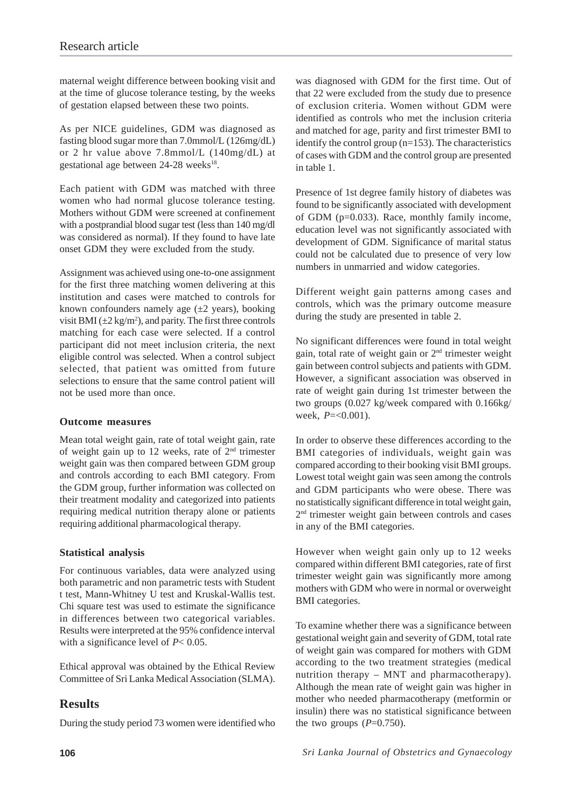maternal weight difference between booking visit and at the time of glucose tolerance testing, by the weeks of gestation elapsed between these two points.

As per NICE guidelines, GDM was diagnosed as fasting blood sugar more than 7.0mmol/L (126mg/dL) or 2 hr value above 7.8mmol/L (140mg/dL) at gestational age between 24-28 weeks<sup>18</sup>.

Each patient with GDM was matched with three women who had normal glucose tolerance testing. Mothers without GDM were screened at confinement with a postprandial blood sugar test (less than 140 mg/dl was considered as normal). If they found to have late onset GDM they were excluded from the study.

Assignment was achieved using one-to-one assignment for the first three matching women delivering at this institution and cases were matched to controls for known confounders namely age  $(\pm 2 \text{ years})$ , booking visit BMI  $(\pm 2 \text{ kg/m}^2)$ , and parity. The first three controls matching for each case were selected. If a control participant did not meet inclusion criteria, the next eligible control was selected. When a control subject selected, that patient was omitted from future selections to ensure that the same control patient will not be used more than once.

#### **Outcome measures**

Mean total weight gain, rate of total weight gain, rate of weight gain up to 12 weeks, rate of  $2<sup>nd</sup>$  trimester weight gain was then compared between GDM group and controls according to each BMI category. From the GDM group, further information was collected on their treatment modality and categorized into patients requiring medical nutrition therapy alone or patients requiring additional pharmacological therapy.

### **Statistical analysis**

For continuous variables, data were analyzed using both parametric and non parametric tests with Student t test, Mann-Whitney U test and Kruskal-Wallis test. Chi square test was used to estimate the significance in differences between two categorical variables. Results were interpreted at the 95% confidence interval with a significance level of *P*< 0.05.

Ethical approval was obtained by the Ethical Review Committee of Sri Lanka Medical Association (SLMA).

# **Results**

During the study period 73 women were identified who

was diagnosed with GDM for the first time. Out of that 22 were excluded from the study due to presence of exclusion criteria. Women without GDM were identified as controls who met the inclusion criteria and matched for age, parity and first trimester BMI to identify the control group (n=153). The characteristics of cases with GDM and the control group are presented in table 1.

Presence of 1st degree family history of diabetes was found to be significantly associated with development of GDM (p=0.033). Race, monthly family income, education level was not significantly associated with development of GDM. Significance of marital status could not be calculated due to presence of very low numbers in unmarried and widow categories.

Different weight gain patterns among cases and controls, which was the primary outcome measure during the study are presented in table 2.

No significant differences were found in total weight gain, total rate of weight gain or  $2<sup>nd</sup>$  trimester weight gain between control subjects and patients with GDM. However, a significant association was observed in rate of weight gain during 1st trimester between the two groups (0.027 kg/week compared with 0.166kg/ week, *P*=<0.001).

In order to observe these differences according to the BMI categories of individuals, weight gain was compared according to their booking visit BMI groups. Lowest total weight gain was seen among the controls and GDM participants who were obese. There was no statistically significant difference in total weight gain, 2nd trimester weight gain between controls and cases in any of the BMI categories.

However when weight gain only up to 12 weeks compared within different BMI categories, rate of first trimester weight gain was significantly more among mothers with GDM who were in normal or overweight BMI categories.

To examine whether there was a significance between gestational weight gain and severity of GDM, total rate of weight gain was compared for mothers with GDM according to the two treatment strategies (medical nutrition therapy – MNT and pharmacotherapy). Although the mean rate of weight gain was higher in mother who needed pharmacotherapy (metformin or insulin) there was no statistical significance between the two groups  $(P=0.750)$ .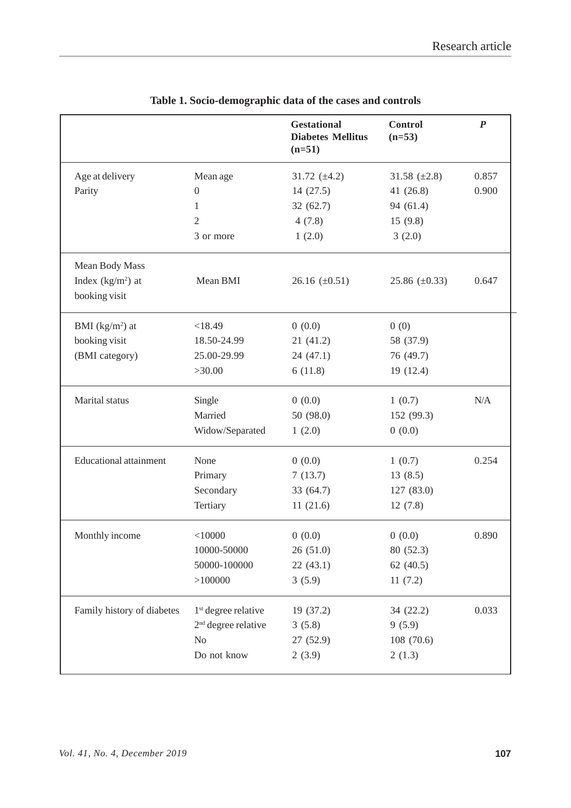|                               |                                 | <b>Gestational</b><br><b>Diabetes Mellitus</b><br>$(n=51)$ | <b>Control</b><br>$(n=53)$ | $\boldsymbol{P}$ |
|-------------------------------|---------------------------------|------------------------------------------------------------|----------------------------|------------------|
| Age at delivery               | Mean age                        | 31.72 $(\pm 4.2)$                                          | 31.58 $(\pm 2.8)$          | 0.857            |
| Parity                        | $\boldsymbol{0}$                | 14(27.5)                                                   | 41 (26.8)                  | 0.900            |
|                               | 1                               | 32(62.7)                                                   | 94 (61.4)                  |                  |
|                               | $\mathfrak{2}$                  | 4(7.8)                                                     | 15(9.8)                    |                  |
|                               | 3 or more                       | 1(2.0)                                                     | 3(2.0)                     |                  |
| Mean Body Mass                |                                 |                                                            |                            |                  |
| Index $(kg/m2)$ at            | Mean BMI                        | 26.16 $(\pm 0.51)$                                         | 25.86 $(\pm 0.33)$         | 0.647            |
| booking visit                 |                                 |                                                            |                            |                  |
| BMI $(kg/m2)$ at              | < 18.49                         | 0(0.0)                                                     | 0(0)                       |                  |
| booking visit                 | 18.50-24.99                     | 21(41.2)                                                   | 58 (37.9)                  |                  |
| (BMI category)                | 25.00-29.99                     | 24 (47.1)                                                  | 76 (49.7)                  |                  |
|                               | >30.00                          | 6(11.8)                                                    | 19(12.4)                   |                  |
| Marital status                | Single                          | 0(0.0)                                                     | 1(0.7)                     | N/A              |
|                               | Married                         | 50 (98.0)                                                  | 152 (99.3)                 |                  |
|                               | Widow/Separated                 | 1(2.0)                                                     | 0(0.0)                     |                  |
| <b>Educational attainment</b> | None                            | 0(0.0)                                                     | 1(0.7)                     | 0.254            |
|                               | Primary                         | 7(13.7)                                                    | 13(8.5)                    |                  |
|                               | Secondary                       | 33 (64.7)                                                  | 127 (83.0)                 |                  |
|                               | Tertiary                        | 11(21.6)                                                   | 12(7.8)                    |                  |
| Monthly income                | $<$ 10000                       | 0(0.0)                                                     | 0(0.0)                     | 0.890            |
|                               | 10000-50000                     | 26(51.0)                                                   | 80 (52.3)                  |                  |
|                               | 50000-100000                    | 22(43.1)                                                   | 62 $(40.5)$                |                  |
|                               | >100000                         | 3(5.9)                                                     | 11(7.2)                    |                  |
| Family history of diabetes    | 1 <sup>st</sup> degree relative | 19 (37.2)                                                  | 34 (22.2)                  | 0.033            |
|                               | $2nd$ degree relative           | 3(5.8)                                                     | 9(5.9)                     |                  |
|                               | No                              | 27 (52.9)                                                  | 108 (70.6)                 |                  |
|                               | Do not know                     | 2(3.9)                                                     | 2(1.3)                     |                  |

# **Table 1. Socio-demographic data of the cases and controls**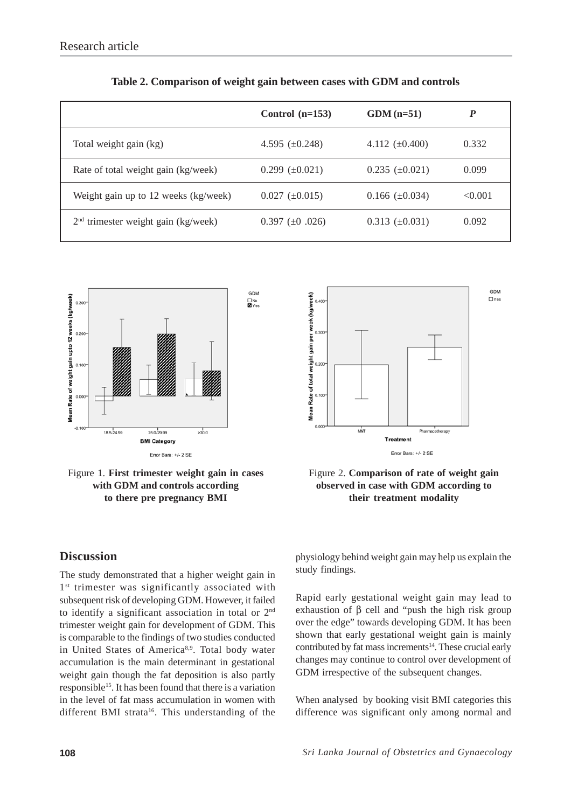|                                       | Control $(n=153)$     | $GDM(n=51)$           | P       |
|---------------------------------------|-----------------------|-----------------------|---------|
| Total weight gain (kg)                | 4.595 $(\pm 0.248)$   | 4.112 $(\pm 0.400)$   | 0.332   |
| Rate of total weight gain (kg/week)   | $0.299 \ (\pm 0.021)$ | $0.235 \ (\pm 0.021)$ | 0.099   |
| Weight gain up to 12 weeks (kg/week)  | $0.027 \ (\pm 0.015)$ | $0.166 \ (\pm 0.034)$ | < 0.001 |
| $2nd$ trimester weight gain (kg/week) | $0.397 \ (\pm 0.026)$ | $0.313 \ (\pm 0.031)$ | 0.092   |

| Table 2. Comparison of weight gain between cases with GDM and controls |
|------------------------------------------------------------------------|
|------------------------------------------------------------------------|



Figure 1. **First trimester weight gain in cases with GDM and controls according to there pre pregnancy BMI**





## **Discussion**

The study demonstrated that a higher weight gain in 1<sup>st</sup> trimester was significantly associated with subsequent risk of developing GDM. However, it failed to identify a significant association in total or 2nd trimester weight gain for development of GDM. This is comparable to the findings of two studies conducted in United States of America<sup>8,9</sup>. Total body water accumulation is the main determinant in gestational weight gain though the fat deposition is also partly responsible<sup>15</sup>. It has been found that there is a variation in the level of fat mass accumulation in women with different BMI strata<sup>16</sup>. This understanding of the

physiology behind weight gain may help us explain the study findings.

Rapid early gestational weight gain may lead to exhaustion of  $β$  cell and "push the high risk group over the edge" towards developing GDM. It has been shown that early gestational weight gain is mainly contributed by fat mass increments<sup>14</sup>. These crucial early changes may continue to control over development of GDM irrespective of the subsequent changes.

When analysed by booking visit BMI categories this difference was significant only among normal and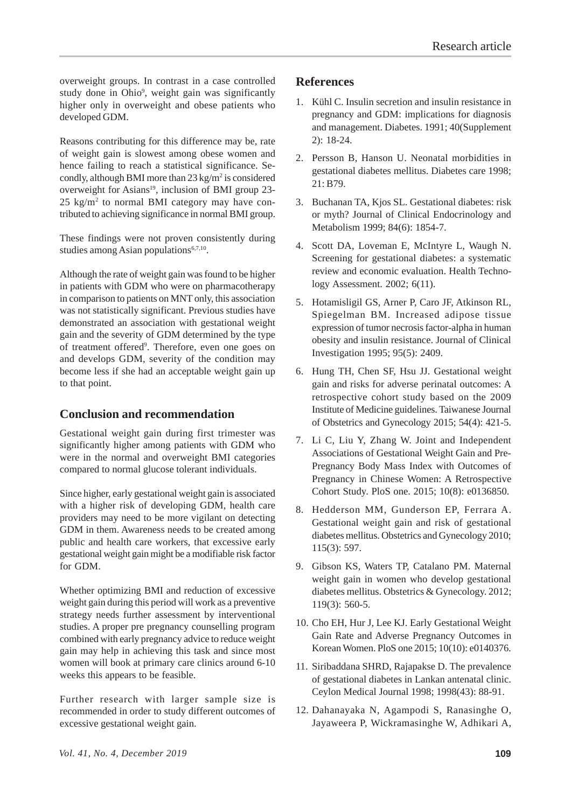overweight groups. In contrast in a case controlled study done in Ohio<sup>9</sup>, weight gain was significantly higher only in overweight and obese patients who developed GDM.

Reasons contributing for this difference may be, rate of weight gain is slowest among obese women and hence failing to reach a statistical significance. Secondly, although BMI more than 23 kg/m<sup>2</sup> is considered overweight for Asians<sup>19</sup>, inclusion of BMI group 23- $25 \text{ kg/m}^2$  to normal BMI category may have contributed to achieving significance in normal BMI group.

These findings were not proven consistently during studies among Asian populations<sup>6,7,10</sup>.

Although the rate of weight gain was found to be higher in patients with GDM who were on pharmacotherapy in comparison to patients on MNT only, this association was not statistically significant. Previous studies have demonstrated an association with gestational weight gain and the severity of GDM determined by the type of treatment offered<sup>9</sup>. Therefore, even one goes on and develops GDM, severity of the condition may become less if she had an acceptable weight gain up to that point.

## **Conclusion and recommendation**

Gestational weight gain during first trimester was significantly higher among patients with GDM who were in the normal and overweight BMI categories compared to normal glucose tolerant individuals.

Since higher, early gestational weight gain is associated with a higher risk of developing GDM, health care providers may need to be more vigilant on detecting GDM in them. Awareness needs to be created among public and health care workers, that excessive early gestational weight gain might be a modifiable risk factor for GDM.

Whether optimizing BMI and reduction of excessive weight gain during this period will work as a preventive strategy needs further assessment by interventional studies. A proper pre pregnancy counselling program combined with early pregnancy advice to reduce weight gain may help in achieving this task and since most women will book at primary care clinics around 6-10 weeks this appears to be feasible.

Further research with larger sample size is recommended in order to study different outcomes of excessive gestational weight gain.

# **References**

- 1. Kühl C. Insulin secretion and insulin resistance in pregnancy and GDM: implications for diagnosis and management. Diabetes. 1991; 40(Supplement 2): 18-24.
- 2. Persson B, Hanson U. Neonatal morbidities in gestational diabetes mellitus. Diabetes care 1998; 21: B79.
- 3. Buchanan TA, Kjos SL. Gestational diabetes: risk or myth? Journal of Clinical Endocrinology and Metabolism 1999; 84(6): 1854-7.
- 4. Scott DA, Loveman E, McIntyre L, Waugh N. Screening for gestational diabetes: a systematic review and economic evaluation. Health Technology Assessment. 2002; 6(11).
- 5. Hotamisligil GS, Arner P, Caro JF, Atkinson RL, Spiegelman BM. Increased adipose tissue expression of tumor necrosis factor-alpha in human obesity and insulin resistance. Journal of Clinical Investigation 1995; 95(5): 2409.
- 6. Hung TH, Chen SF, Hsu JJ. Gestational weight gain and risks for adverse perinatal outcomes: A retrospective cohort study based on the 2009 Institute of Medicine guidelines. Taiwanese Journal of Obstetrics and Gynecology 2015; 54(4): 421-5.
- 7. Li C, Liu Y, Zhang W. Joint and Independent Associations of Gestational Weight Gain and Pre-Pregnancy Body Mass Index with Outcomes of Pregnancy in Chinese Women: A Retrospective Cohort Study. PloS one. 2015; 10(8): e0136850.
- 8. Hedderson MM, Gunderson EP, Ferrara A. Gestational weight gain and risk of gestational diabetes mellitus. Obstetrics and Gynecology 2010; 115(3): 597.
- 9. Gibson KS, Waters TP, Catalano PM. Maternal weight gain in women who develop gestational diabetes mellitus. Obstetrics & Gynecology. 2012; 119(3): 560-5.
- 10. Cho EH, Hur J, Lee KJ. Early Gestational Weight Gain Rate and Adverse Pregnancy Outcomes in Korean Women. PloS one 2015; 10(10): e0140376.
- 11. Siribaddana SHRD, Rajapakse D. The prevalence of gestational diabetes in Lankan antenatal clinic. Ceylon Medical Journal 1998; 1998(43): 88-91.
- 12. Dahanayaka N, Agampodi S, Ranasinghe O, Jayaweera P, Wickramasinghe W, Adhikari A,